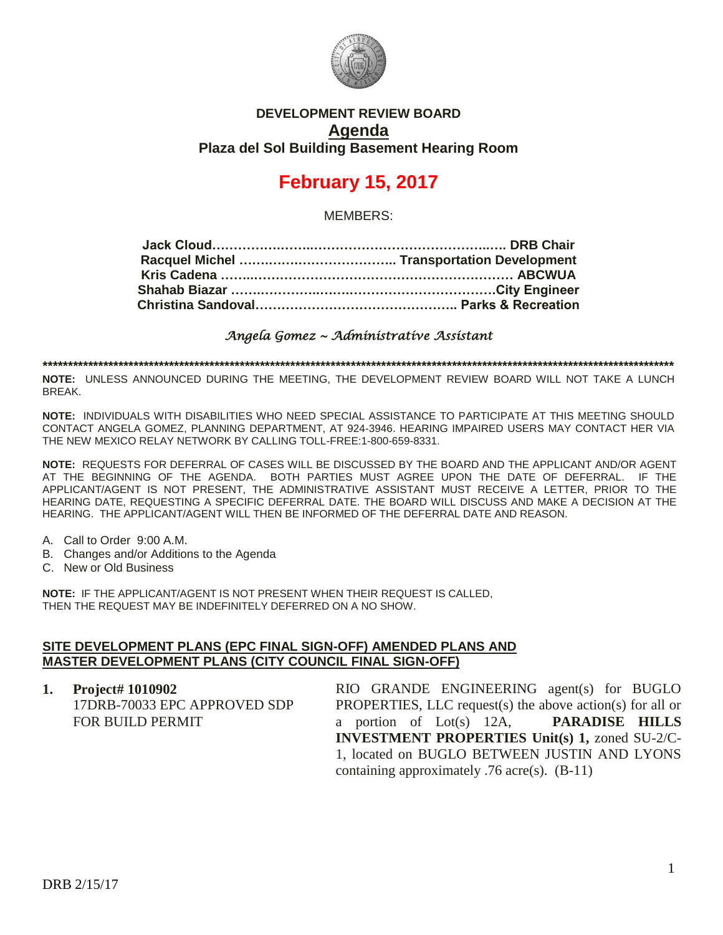

## **DEVELOPMENT REVIEW BOARD Agenda Plaza del Sol Building Basement Hearing Room**

# **February 15, 2017**

MEMBERS:

*Angela Gomez ~ Administrative Assistant* 

**\*\*\*\*\*\*\*\*\*\*\*\*\*\*\*\*\*\*\*\*\*\*\*\*\*\*\*\*\*\*\*\*\*\*\*\*\*\*\*\*\*\*\*\*\*\*\*\*\*\*\*\*\*\*\*\*\*\*\*\*\*\*\*\*\*\*\*\*\*\*\*\*\*\*\*\*\*\*\*\*\*\*\*\*\*\*\*\*\*\*\*\*\*\*\*\*\*\*\*\*\*\*\*\*\*\*\*\*\*\*\*\*\*\*\*\*\*\*\*\*\*\*\*\*\***

**NOTE:** UNLESS ANNOUNCED DURING THE MEETING, THE DEVELOPMENT REVIEW BOARD WILL NOT TAKE A LUNCH BREAK.

**NOTE:** INDIVIDUALS WITH DISABILITIES WHO NEED SPECIAL ASSISTANCE TO PARTICIPATE AT THIS MEETING SHOULD CONTACT ANGELA GOMEZ, PLANNING DEPARTMENT, AT 924-3946. HEARING IMPAIRED USERS MAY CONTACT HER VIA THE NEW MEXICO RELAY NETWORK BY CALLING TOLL-FREE:1-800-659-8331.

**NOTE:** REQUESTS FOR DEFERRAL OF CASES WILL BE DISCUSSED BY THE BOARD AND THE APPLICANT AND/OR AGENT AT THE BEGINNING OF THE AGENDA. BOTH PARTIES MUST AGREE UPON THE DATE OF DEFERRAL. IF THE APPLICANT/AGENT IS NOT PRESENT, THE ADMINISTRATIVE ASSISTANT MUST RECEIVE A LETTER, PRIOR TO THE HEARING DATE, REQUESTING A SPECIFIC DEFERRAL DATE. THE BOARD WILL DISCUSS AND MAKE A DECISION AT THE HEARING. THE APPLICANT/AGENT WILL THEN BE INFORMED OF THE DEFERRAL DATE AND REASON.

- A. Call to Order 9:00 A.M.
- B. Changes and/or Additions to the Agenda
- C. New or Old Business

**NOTE:** IF THE APPLICANT/AGENT IS NOT PRESENT WHEN THEIR REQUEST IS CALLED, THEN THE REQUEST MAY BE INDEFINITELY DEFERRED ON A NO SHOW.

#### **SITE DEVELOPMENT PLANS (EPC FINAL SIGN-OFF) AMENDED PLANS AND MASTER DEVELOPMENT PLANS (CITY COUNCIL FINAL SIGN-OFF)**

**1. Project# 1010902** 17DRB-70033 EPC APPROVED SDP FOR BUILD PERMIT RIO GRANDE ENGINEERING agent(s) for BUGLO PROPERTIES, LLC request(s) the above action(s) for all or a portion of Lot(s) 12A, **PARADISE HILLS INVESTMENT PROPERTIES Unit(s) 1,** zoned SU-2/C-1, located on BUGLO BETWEEN JUSTIN AND LYONS containing approximately .76 acre(s). (B-11)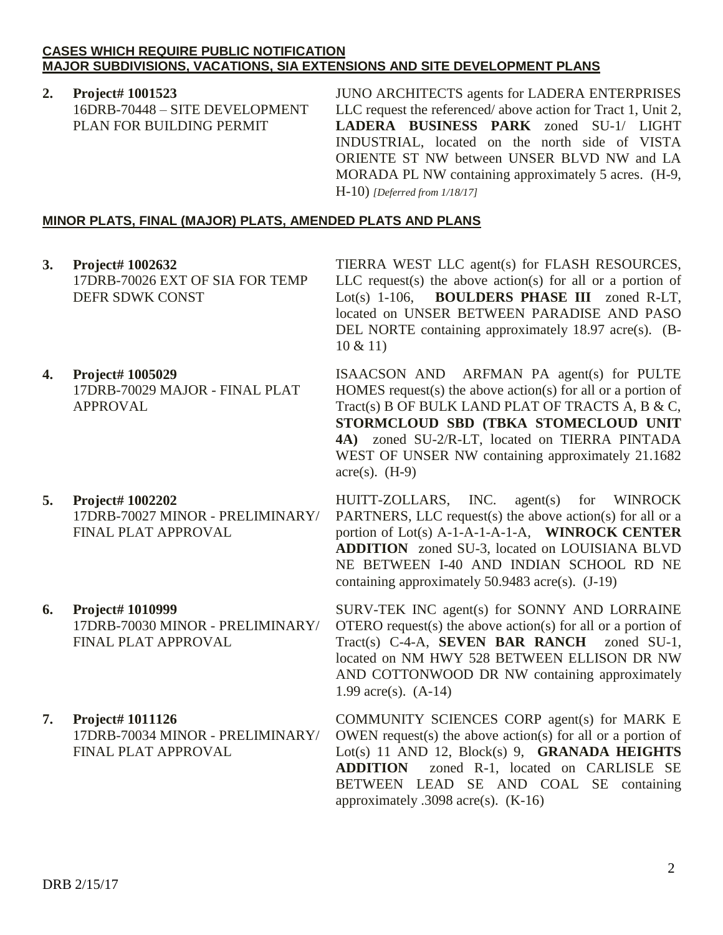### **CASES WHICH REQUIRE PUBLIC NOTIFICATION MAJOR SUBDIVISIONS, VACATIONS, SIA EXTENSIONS AND SITE DEVELOPMENT PLANS**

**2. Project# 1001523** 16DRB-70448 – SITE DEVELOPMENT PLAN FOR BUILDING PERMIT

JUNO ARCHITECTS agents for LADERA ENTERPRISES LLC request the referenced/ above action for Tract 1, Unit 2, **LADERA BUSINESS PARK** zoned SU-1/ LIGHT INDUSTRIAL, located on the north side of VISTA ORIENTE ST NW between UNSER BLVD NW and LA MORADA PL NW containing approximately 5 acres. (H-9, H-10) *[Deferred from 1/18/17]*

## **MINOR PLATS, FINAL (MAJOR) PLATS, AMENDED PLATS AND PLANS**

- **3. Project# 1002632** 17DRB-70026 EXT OF SIA FOR TEMP DEFR SDWK CONST
- **4. Project# 1005029** 17DRB-70029 MAJOR - FINAL PLAT APPROVAL
- **5. Project# 1002202** 17DRB-70027 MINOR - PRELIMINARY/ FINAL PLAT APPROVAL
- **6. Project# 1010999** 17DRB-70030 MINOR - PRELIMINARY/ FINAL PLAT APPROVAL
- **7. Project# 1011126** 17DRB-70034 MINOR - PRELIMINARY/ FINAL PLAT APPROVAL

TIERRA WEST LLC agent(s) for FLASH RESOURCES, LLC request(s) the above action(s) for all or a portion of Lot(s) 1-106, **BOULDERS PHASE III** zoned R-LT, located on UNSER BETWEEN PARADISE AND PASO DEL NORTE containing approximately 18.97 acre(s). (B-10 & 11)

ISAACSON AND ARFMAN PA agent(s) for PULTE HOMES request(s) the above action(s) for all or a portion of Tract(s) B OF BULK LAND PLAT OF TRACTS A, B & C, **STORMCLOUD SBD (TBKA STOMECLOUD UNIT 4A)** zoned SU-2/R-LT, located on TIERRA PINTADA WEST OF UNSER NW containing approximately 21.1682  $\text{acre}(s)$ . (H-9)

HUITT-ZOLLARS, INC. agent(s) for WINROCK PARTNERS, LLC request(s) the above action(s) for all or a portion of Lot(s) A-1-A-1-A-1-A, **WINROCK CENTER ADDITION** zoned SU-3, located on LOUISIANA BLVD NE BETWEEN I-40 AND INDIAN SCHOOL RD NE containing approximately 50.9483 acre(s). (J-19)

SURV-TEK INC agent(s) for SONNY AND LORRAINE OTERO request(s) the above action(s) for all or a portion of Tract(s) C-4-A, **SEVEN BAR RANCH** zoned SU-1, located on NM HWY 528 BETWEEN ELLISON DR NW AND COTTONWOOD DR NW containing approximately 1.99 acre(s). (A-14)

COMMUNITY SCIENCES CORP agent(s) for MARK E OWEN request(s) the above action(s) for all or a portion of Lot(s) 11 AND 12, Block(s) 9, **GRANADA HEIGHTS ADDITION** zoned R-1, located on CARLISLE SE BETWEEN LEAD SE AND COAL SE containing approximately .3098 acre(s). (K-16)